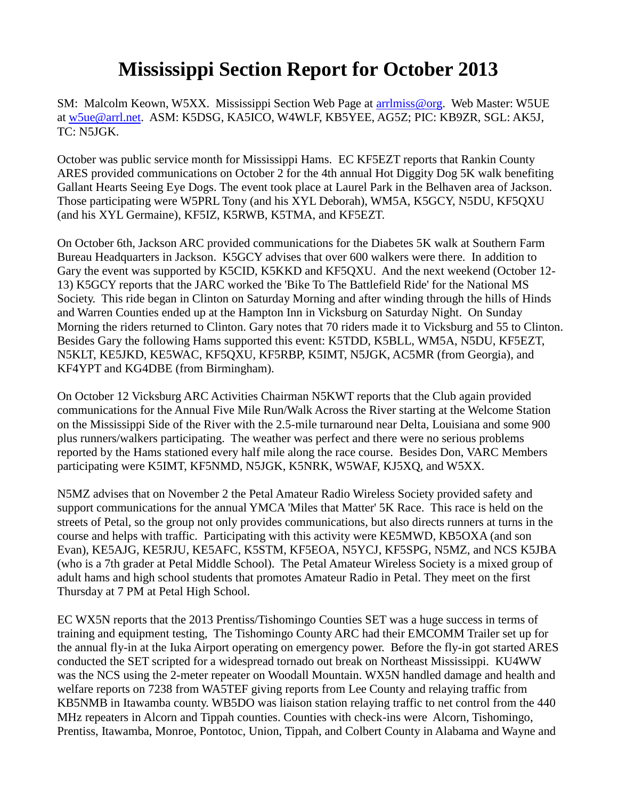## **Mississippi Section Report for October 2013**

SM: Malcolm Keown, W5XX. Mississippi Section Web Page at [arrlmiss@org.](mailto:arrlmiss@org) Web Master: W5UE at [w5ue@arrl.net.](mailto:w5ue@arrl.net) ASM: K5DSG, KA5ICO, W4WLF, KB5YEE, AG5Z; PIC: KB9ZR, SGL: AK5J, TC: N5JGK.

October was public service month for Mississippi Hams. EC KF5EZT reports that Rankin County ARES provided communications on October 2 for the 4th annual Hot Diggity Dog 5K walk benefiting Gallant Hearts Seeing Eye Dogs. The event took place at Laurel Park in the Belhaven area of Jackson. Those participating were W5PRL Tony (and his XYL Deborah), WM5A, K5GCY, N5DU, KF5QXU (and his XYL Germaine), KF5IZ, K5RWB, K5TMA, and KF5EZT.

On October 6th, Jackson ARC provided communications for the Diabetes 5K walk at Southern Farm Bureau Headquarters in Jackson. K5GCY advises that over 600 walkers were there. In addition to Gary the event was supported by K5CID, K5KKD and KF5QXU. And the next weekend (October 12- 13) K5GCY reports that the JARC worked the 'Bike To The Battlefield Ride' for the National MS Society. This ride began in Clinton on Saturday Morning and after winding through the hills of Hinds and Warren Counties ended up at the Hampton Inn in Vicksburg on Saturday Night. On Sunday Morning the riders returned to Clinton. Gary notes that 70 riders made it to Vicksburg and 55 to Clinton. Besides Gary the following Hams supported this event: K5TDD, K5BLL, WM5A, N5DU, KF5EZT, N5KLT, KE5JKD, KE5WAC, KF5QXU, KF5RBP, K5IMT, N5JGK, AC5MR (from Georgia), and KF4YPT and KG4DBE (from Birmingham).

On October 12 Vicksburg ARC Activities Chairman N5KWT reports that the Club again provided communications for the Annual Five Mile Run/Walk Across the River starting at the Welcome Station on the Mississippi Side of the River with the 2.5-mile turnaround near Delta, Louisiana and some 900 plus runners/walkers participating. The weather was perfect and there were no serious problems reported by the Hams stationed every half mile along the race course. Besides Don, VARC Members participating were K5IMT, KF5NMD, N5JGK, K5NRK, W5WAF, KJ5XQ, and W5XX.

N5MZ advises that on November 2 the Petal Amateur Radio Wireless Society provided safety and support communications for the annual YMCA 'Miles that Matter' 5K Race. This race is held on the streets of Petal, so the group not only provides communications, but also directs runners at turns in the course and helps with traffic. Participating with this activity were KE5MWD, KB5OXA (and son Evan), KE5AJG, KE5RJU, KE5AFC, K5STM, KF5EOA, N5YCJ, KF5SPG, N5MZ, and NCS K5JBA (who is a 7th grader at Petal Middle School). The Petal Amateur Wireless Society is a mixed group of adult hams and high school students that promotes Amateur Radio in Petal. They meet on the first Thursday at 7 PM at Petal High School.

EC WX5N reports that the 2013 Prentiss/Tishomingo Counties SET was a huge success in terms of training and equipment testing, The Tishomingo County ARC had their EMCOMM Trailer set up for the annual fly-in at the Iuka Airport operating on emergency power. Before the fly-in got started ARES conducted the SET scripted for a widespread tornado out break on Northeast Mississippi. KU4WW was the NCS using the 2-meter repeater on Woodall Mountain. WX5N handled damage and health and welfare reports on 7238 from WA5TEF giving reports from Lee County and relaying traffic from KB5NMB in Itawamba county. WB5DO was liaison station relaying traffic to net control from the 440 MHz repeaters in Alcorn and Tippah counties. Counties with check-ins were Alcorn, Tishomingo, Prentiss, Itawamba, Monroe, Pontotoc, Union, Tippah, and Colbert County in Alabama and Wayne and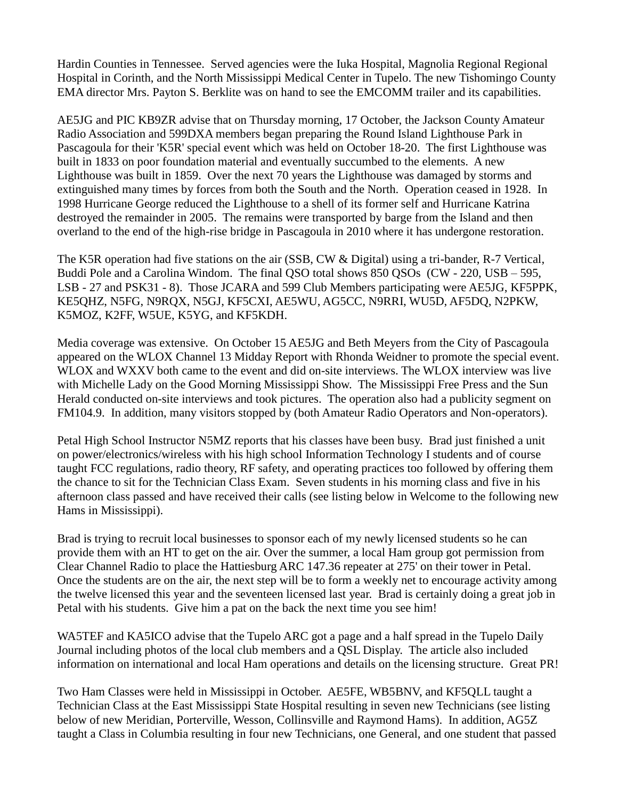Hardin Counties in Tennessee. Served agencies were the Iuka Hospital, Magnolia Regional Regional Hospital in Corinth, and the North Mississippi Medical Center in Tupelo. The new Tishomingo County EMA director Mrs. Payton S. Berklite was on hand to see the EMCOMM trailer and its capabilities.

AE5JG and PIC KB9ZR advise that on Thursday morning, 17 October, the Jackson County Amateur Radio Association and 599DXA members began preparing the Round Island Lighthouse Park in Pascagoula for their 'K5R' special event which was held on October 18-20. The first Lighthouse was built in 1833 on poor foundation material and eventually succumbed to the elements. A new Lighthouse was built in 1859. Over the next 70 years the Lighthouse was damaged by storms and extinguished many times by forces from both the South and the North. Operation ceased in 1928. In 1998 Hurricane George reduced the Lighthouse to a shell of its former self and Hurricane Katrina destroyed the remainder in 2005. The remains were transported by barge from the Island and then overland to the end of the high-rise bridge in Pascagoula in 2010 where it has undergone restoration.

The K5R operation had five stations on the air (SSB, CW & Digital) using a tri-bander, R-7 Vertical, Buddi Pole and a Carolina Windom. The final QSO total shows 850 QSOs (CW - 220, USB – 595, LSB - 27 and PSK31 - 8). Those JCARA and 599 Club Members participating were AE5JG, KF5PPK, KE5QHZ, N5FG, N9RQX, N5GJ, KF5CXI, AE5WU, AG5CC, N9RRI, WU5D, AF5DQ, N2PKW, K5MOZ, K2FF, W5UE, K5YG, and KF5KDH.

Media coverage was extensive. On October 15 AE5JG and Beth Meyers from the City of Pascagoula appeared on the WLOX Channel 13 Midday Report with Rhonda Weidner to promote the special event. WLOX and WXXV both came to the event and did on-site interviews. The WLOX interview was live with Michelle Lady on the Good Morning Mississippi Show. The Mississippi Free Press and the Sun Herald conducted on-site interviews and took pictures. The operation also had a publicity segment on FM104.9. In addition, many visitors stopped by (both Amateur Radio Operators and Non-operators).

Petal High School Instructor N5MZ reports that his classes have been busy. Brad just finished a unit on power/electronics/wireless with his high school Information Technology I students and of course taught FCC regulations, radio theory, RF safety, and operating practices too followed by offering them the chance to sit for the Technician Class Exam. Seven students in his morning class and five in his afternoon class passed and have received their calls (see listing below in Welcome to the following new Hams in Mississippi).

Brad is trying to recruit local businesses to sponsor each of my newly licensed students so he can provide them with an HT to get on the air. Over the summer, a local Ham group got permission from Clear Channel Radio to place the Hattiesburg ARC 147.36 repeater at 275' on their tower in Petal. Once the students are on the air, the next step will be to form a weekly net to encourage activity among the twelve licensed this year and the seventeen licensed last year. Brad is certainly doing a great job in Petal with his students. Give him a pat on the back the next time you see him!

WA5TEF and KA5ICO advise that the Tupelo ARC got a page and a half spread in the Tupelo Daily Journal including photos of the local club members and a QSL Display. The article also included information on international and local Ham operations and details on the licensing structure. Great PR!

Two Ham Classes were held in Mississippi in October. AE5FE, WB5BNV, and KF5QLL taught a Technician Class at the East Mississippi State Hospital resulting in seven new Technicians (see listing below of new Meridian, Porterville, Wesson, Collinsville and Raymond Hams). In addition, AG5Z taught a Class in Columbia resulting in four new Technicians, one General, and one student that passed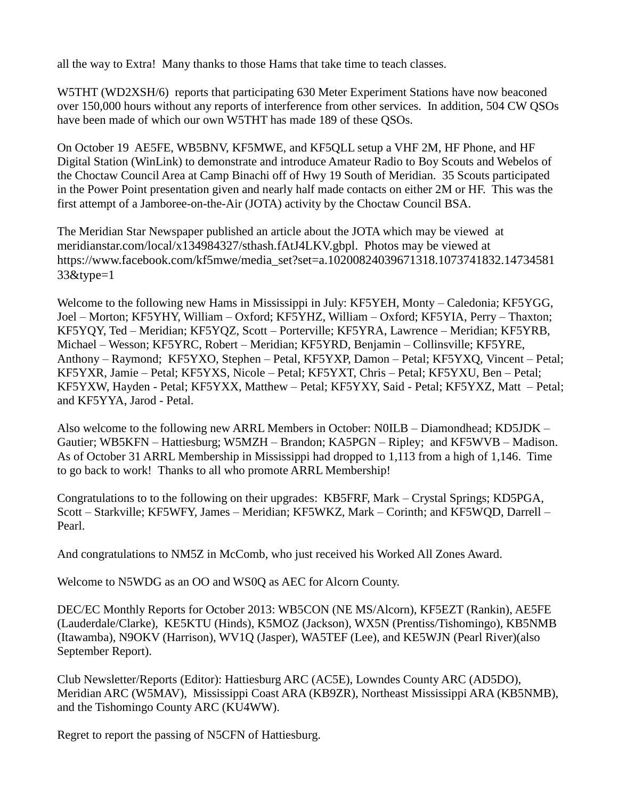all the way to Extra! Many thanks to those Hams that take time to teach classes.

W5THT (WD2XSH/6) reports that participating 630 Meter Experiment Stations have now beaconed over 150,000 hours without any reports of interference from other services. In addition, 504 CW QSOs have been made of which our own W5THT has made 189 of these QSOs.

On October 19 AE5FE, WB5BNV, KF5MWE, and KF5QLL setup a VHF 2M, HF Phone, and HF Digital Station (WinLink) to demonstrate and introduce Amateur Radio to Boy Scouts and Webelos of the Choctaw Council Area at Camp Binachi off of Hwy 19 South of Meridian. 35 Scouts participated in the Power Point presentation given and nearly half made contacts on either 2M or HF. This was the first attempt of a Jamboree-on-the-Air (JOTA) activity by the Choctaw Council BSA.

The Meridian Star Newspaper published an article about the JOTA which may be viewed at meridianstar.com/local/x134984327/sthash.fAtJ4LKV.gbpl. Photos may be viewed at https://www.facebook.com/kf5mwe/media\_set?set=a.10200824039671318.1073741832.14734581 33&type=1

Welcome to the following new Hams in Mississippi in July: KF5YEH, Monty – Caledonia; KF5YGG, Joel – Morton; KF5YHY, William – Oxford; KF5YHZ, William – Oxford; KF5YIA, Perry – Thaxton; KF5YQY, Ted – Meridian; KF5YQZ, Scott – Porterville; KF5YRA, Lawrence – Meridian; KF5YRB, Michael – Wesson; KF5YRC, Robert – Meridian; KF5YRD, Benjamin – Collinsville; KF5YRE, Anthony – Raymond; KF5YXO, Stephen – Petal, KF5YXP, Damon – Petal; KF5YXQ, Vincent – Petal; KF5YXR, Jamie – Petal; KF5YXS, Nicole – Petal; KF5YXT, Chris – Petal; KF5YXU, Ben – Petal; KF5YXW, Hayden - Petal; KF5YXX, Matthew – Petal; KF5YXY, Said - Petal; KF5YXZ, Matt – Petal; and KF5YYA, Jarod - Petal.

Also welcome to the following new ARRL Members in October: N0ILB – Diamondhead; KD5JDK – Gautier; WB5KFN – Hattiesburg; W5MZH – Brandon; KA5PGN – Ripley; and KF5WVB – Madison. As of October 31 ARRL Membership in Mississippi had dropped to 1,113 from a high of 1,146. Time to go back to work! Thanks to all who promote ARRL Membership!

Congratulations to to the following on their upgrades: KB5FRF, Mark – Crystal Springs; KD5PGA, Scott – Starkville; KF5WFY, James – Meridian; KF5WKZ, Mark – Corinth; and KF5WQD, Darrell – Pearl.

And congratulations to NM5Z in McComb, who just received his Worked All Zones Award.

Welcome to N5WDG as an OO and WS0Q as AEC for Alcorn County.

DEC/EC Monthly Reports for October 2013: WB5CON (NE MS/Alcorn), KF5EZT (Rankin), AE5FE (Lauderdale/Clarke), KE5KTU (Hinds), K5MOZ (Jackson), WX5N (Prentiss/Tishomingo), KB5NMB (Itawamba), N9OKV (Harrison), WV1Q (Jasper), WA5TEF (Lee), and KE5WJN (Pearl River)(also September Report).

Club Newsletter/Reports (Editor): Hattiesburg ARC (AC5E), Lowndes County ARC (AD5DO), Meridian ARC (W5MAV), Mississippi Coast ARA (KB9ZR), Northeast Mississippi ARA (KB5NMB), and the Tishomingo County ARC (KU4WW).

Regret to report the passing of N5CFN of Hattiesburg.